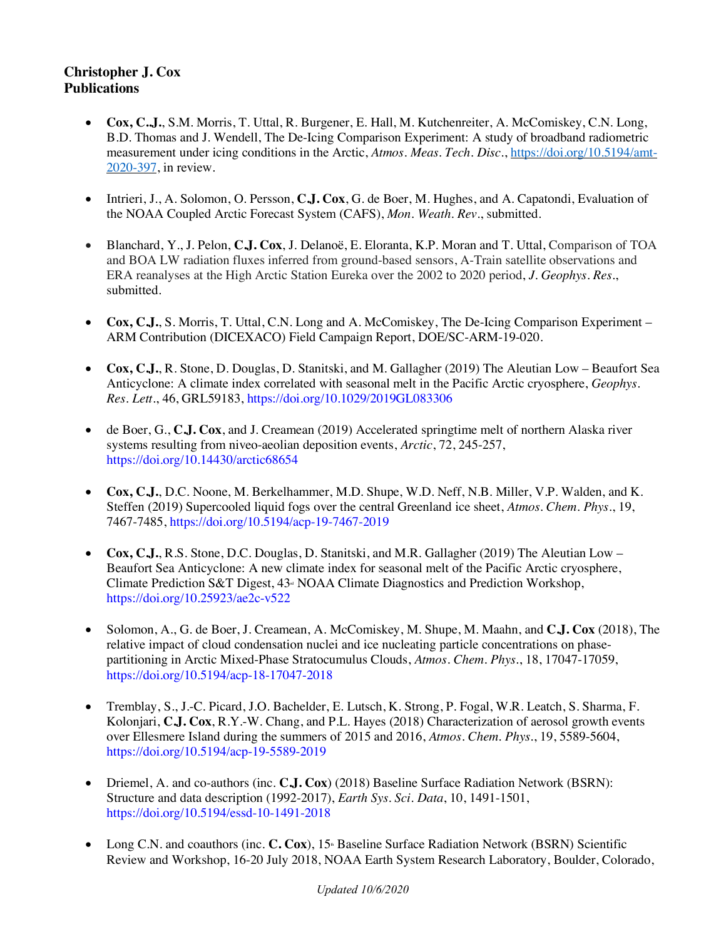## **Christopher J. Cox Publications**

- **Cox, C..J.**, S.M. Morris, T. Uttal, R. Burgener, E. Hall, M. Kutchenreiter, A. McComiskey, C.N. Long, B.D. Thomas and J. Wendell, The De-Icing Comparison Experiment: A study of broadband radiometric measurement under icing conditions in the Arctic, *Atmos. Meas. Tech. Disc.*, https://doi.org/10.5194/amt-2020-397, in review.
- Intrieri, J., A. Solomon, O. Persson, **C.J. Cox**, G. de Boer, M. Hughes, and A. Capatondi, Evaluation of the NOAA Coupled Arctic Forecast System (CAFS), *Mon. Weath. Rev.*, submitted.
- Blanchard, Y., J. Pelon, **C.J. Cox**, J. Delanoë, E. Eloranta, K.P. Moran and T. Uttal, Comparison of TOA and BOA LW radiation fluxes inferred from ground-based sensors, A-Train satellite observations and ERA reanalyses at the High Arctic Station Eureka over the 2002 to 2020 period, *J. Geophys. Res.*, submitted.
- **Cox, C.J.**, S. Morris, T. Uttal, C.N. Long and A. McComiskey, The De-Icing Comparison Experiment ARM Contribution (DICEXACO) Field Campaign Report, DOE/SC-ARM-19-020.
- **Cox, C.J.**, R. Stone, D. Douglas, D. Stanitski, and M. Gallagher (2019) The Aleutian Low Beaufort Sea Anticyclone: A climate index correlated with seasonal melt in the Pacific Arctic cryosphere, *Geophys. Res. Lett.*, 46, GRL59183, https://doi.org/10.1029/2019GL083306
- de Boer, G., **C.J. Cox**, and J. Creamean (2019) Accelerated springtime melt of northern Alaska river systems resulting from niveo-aeolian deposition events, *Arctic*, 72, 245-257, https://doi.org/10.14430/arctic68654
- **Cox, C.J.**, D.C. Noone, M. Berkelhammer, M.D. Shupe, W.D. Neff, N.B. Miller, V.P. Walden, and K. Steffen (2019) Supercooled liquid fogs over the central Greenland ice sheet, *Atmos. Chem. Phys.*, 19, 7467-7485, https://doi.org/10.5194/acp-19-7467-2019
- **Cox, C.J.**, R.S. Stone, D.C. Douglas, D. Stanitski, and M.R. Gallagher (2019) The Aleutian Low Beaufort Sea Anticyclone: A new climate index for seasonal melt of the Pacific Arctic cryosphere, Climate Prediction S&T Digest,  $43<sup>a</sup>$  NOAA Climate Diagnostics and Prediction Workshop, https://doi.org/10.25923/ae2c-v522
- Solomon, A., G. de Boer, J. Creamean, A. McComiskey, M. Shupe, M. Maahn, and **C.J. Cox** (2018), The relative impact of cloud condensation nuclei and ice nucleating particle concentrations on phasepartitioning in Arctic Mixed-Phase Stratocumulus Clouds, *Atmos. Chem. Phys.*, 18, 17047-17059, https://doi.org/10.5194/acp-18-17047-2018
- Tremblay, S., J.-C. Picard, J.O. Bachelder, E. Lutsch, K. Strong, P. Fogal, W.R. Leatch, S. Sharma, F. Kolonjari, **C.J. Cox**, R.Y.-W. Chang, and P.L. Hayes (2018) Characterization of aerosol growth events over Ellesmere Island during the summers of 2015 and 2016, *Atmos. Chem. Phys.*, 19, 5589-5604, https://doi.org/10.5194/acp-19-5589-2019
- Driemel, A. and co-authors (inc. **C.J. Cox**) (2018) Baseline Surface Radiation Network (BSRN): Structure and data description (1992-2017), *Earth Sys. Sci. Data*, 10, 1491-1501, https://doi.org/10.5194/essd-10-1491-2018
- Long C.N. and coauthors (inc. **C. Cox**), 15<sup>th</sup> Baseline Surface Radiation Network (BSRN) Scientific Review and Workshop, 16-20 July 2018, NOAA Earth System Research Laboratory, Boulder, Colorado,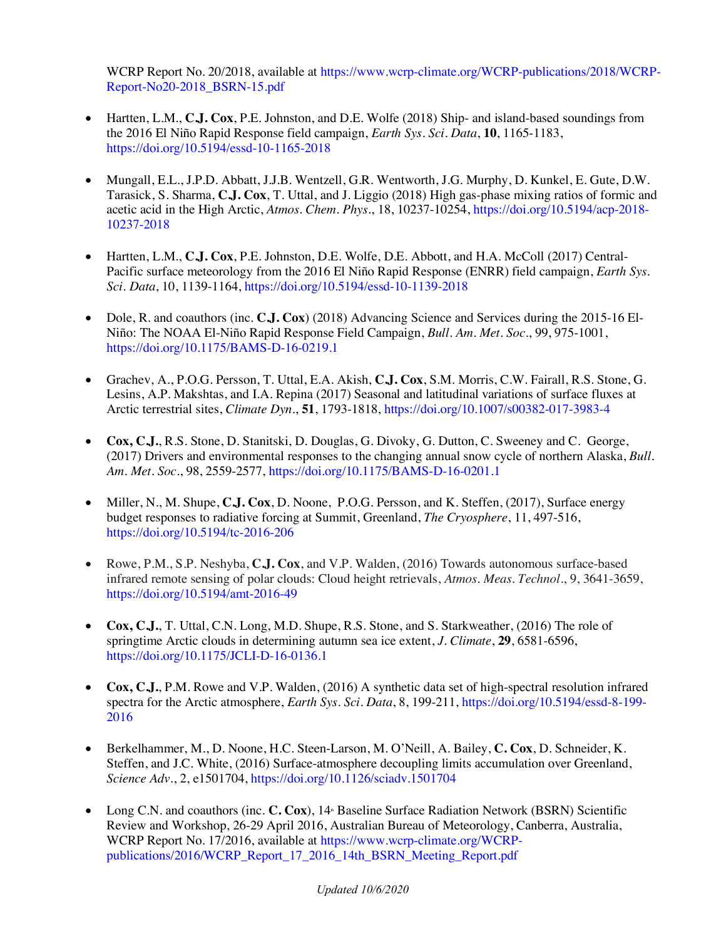WCRP Report No. 20/2018, available at https://www.wcrp-climate.org/WCRP-publications/2018/WCRP-Report-No20-2018\_BSRN-15.pdf

- Hartten, L.M., **C.J. Cox**, P.E. Johnston, and D.E. Wolfe (2018) Ship- and island-based soundings from the 2016 El Niño Rapid Response field campaign, *Earth Sys. Sci. Data*, **10**, 1165-1183, https://doi.org/10.5194/essd-10-1165-2018
- Mungall, E.L., J.P.D. Abbatt, J.J.B. Wentzell, G.R. Wentworth, J.G. Murphy, D. Kunkel, E. Gute, D.W. Tarasick, S. Sharma, **C.J. Cox**, T. Uttal, and J. Liggio (2018) High gas-phase mixing ratios of formic and acetic acid in the High Arctic, *Atmos. Chem. Phys.*, 18, 10237-10254, https://doi.org/10.5194/acp-2018- 10237-2018
- Hartten, L.M., **C.J. Cox**, P.E. Johnston, D.E. Wolfe, D.E. Abbott, and H.A. McColl (2017) Central-Pacific surface meteorology from the 2016 El Niño Rapid Response (ENRR) field campaign, *Earth Sys. Sci. Data*, 10, 1139-1164, https://doi.org/10.5194/essd-10-1139-2018
- Dole, R. and coauthors (inc. **C.J. Cox**) (2018) Advancing Science and Services during the 2015-16 El-Niño: The NOAA El-Niño Rapid Response Field Campaign, *Bull. Am. Met. Soc.*, 99, 975-1001, https://doi.org/10.1175/BAMS-D-16-0219.1
- Grachev, A., P.O.G. Persson, T. Uttal, E.A. Akish, **C.J. Cox**, S.M. Morris, C.W. Fairall, R.S. Stone, G. Lesins, A.P. Makshtas, and I.A. Repina (2017) Seasonal and latitudinal variations of surface fluxes at Arctic terrestrial sites, *Climate Dyn.*, **51**, 1793-1818, https://doi.org/10.1007/s00382-017-3983-4
- **Cox, C.J.**, R.S. Stone, D. Stanitski, D. Douglas, G. Divoky, G. Dutton, C. Sweeney and C. George, (2017) Drivers and environmental responses to the changing annual snow cycle of northern Alaska, *Bull. Am. Met. Soc.*, 98, 2559-2577, https://doi.org/10.1175/BAMS-D-16-0201.1
- Miller, N., M. Shupe, **C.J. Cox**, D. Noone, P.O.G. Persson, and K. Steffen, (2017), Surface energy budget responses to radiative forcing at Summit, Greenland, *The Cryosphere*, 11, 497-516, https://doi.org/10.5194/tc-2016-206
- Rowe, P.M., S.P. Neshyba, **C.J. Cox**, and V.P. Walden, (2016) Towards autonomous surface-based infrared remote sensing of polar clouds: Cloud height retrievals, *Atmos. Meas. Technol*., 9, 3641-3659, https://doi.org/10.5194/amt-2016-49
- **Cox, C.J.**, T. Uttal, C.N. Long, M.D. Shupe, R.S. Stone, and S. Starkweather, (2016) The role of springtime Arctic clouds in determining autumn sea ice extent, *J. Climate*, **29**, 6581-6596, https://doi.org/10.1175/JCLI-D-16-0136.1
- **Cox, C.J.**, P.M. Rowe and V.P. Walden, (2016) A synthetic data set of high-spectral resolution infrared spectra for the Arctic atmosphere, *Earth Sys. Sci. Data*, 8, 199-211, https://doi.org/10.5194/essd-8-199- 2016
- Berkelhammer, M., D. Noone, H.C. Steen-Larson, M. O'Neill, A. Bailey, **C. Cox**, D. Schneider, K. Steffen, and J.C. White, (2016) Surface-atmosphere decoupling limits accumulation over Greenland, *Science Adv*., 2, e1501704, https://doi.org/10.1126/sciadv.1501704
- Long C.N. and coauthors (inc. **C. Cox**), 14<sup>th</sup> Baseline Surface Radiation Network (BSRN) Scientific Review and Workshop, 26-29 April 2016, Australian Bureau of Meteorology, Canberra, Australia, WCRP Report No. 17/2016, available at https://www.wcrp-climate.org/WCRPpublications/2016/WCRP\_Report\_17\_2016\_14th\_BSRN\_Meeting\_Report.pdf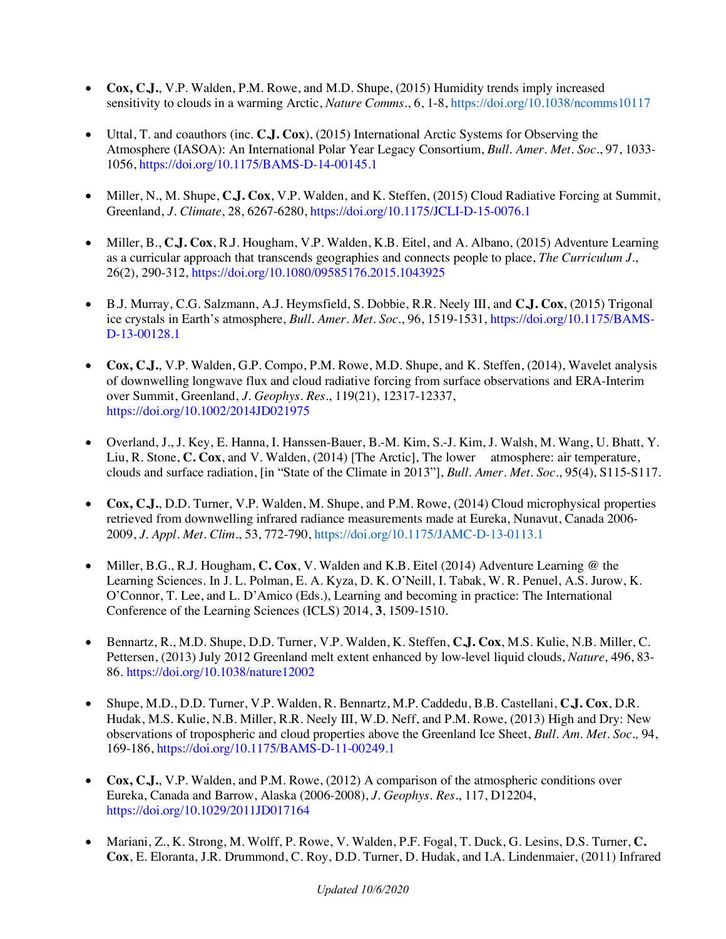- **Cox, C.J.**, V.P. Walden, P.M. Rowe, and M.D. Shupe, (2015) Humidity trends imply increased sensitivity to clouds in a warming Arctic, *Nature Comms.*, 6, 1-8, https://doi.org/10.1038/ncomms10117
- Uttal, T. and coauthors (inc. **C.J. Cox**), (2015) International Arctic Systems for Observing the Atmosphere (IASOA): An International Polar Year Legacy Consortium, *Bull. Amer. Met. Soc.*, 97, 1033- 1056, https://doi.org/10.1175/BAMS-D-14-00145.1
- Miller, N., M. Shupe, **C.J. Cox**, V.P. Walden, and K. Steffen, (2015) Cloud Radiative Forcing at Summit, Greenland, *J. Climate*, 28, 6267-6280, https://doi.org/10.1175/JCLI-D-15-0076.1
- Miller, B., **C.J. Cox**, R.J. Hougham, V.P. Walden, K.B. Eitel, and A. Albano, (2015) Adventure Learning as a curricular approach that transcends geographies and connects people to place, *The Curriculum J.*, 26(2), 290-312, https://doi.org/10.1080/09585176.2015.1043925
- B.J. Murray, C.G. Salzmann, A.J. Heymsfield, S. Dobbie, R.R. Neely III, and **C.J. Cox**, (2015) Trigonal ice crystals in Earth's atmosphere, *Bull. Amer. Met. Soc.*, 96, 1519-1531, https://doi.org/10.1175/BAMS-D-13-00128.1
- **Cox, C.J.**, V.P. Walden, G.P. Compo, P.M. Rowe, M.D. Shupe, and K. Steffen, (2014), Wavelet analysis of downwelling longwave flux and cloud radiative forcing from surface observations and ERA-Interim over Summit, Greenland, *J. Geophys. Res.*, 119(21), 12317-12337, https://doi.org/10.1002/2014JD021975
- Overland, J., J. Key, E. Hanna, I. Hanssen-Bauer, B.-M. Kim, S.-J. Kim, J. Walsh, M. Wang, U. Bhatt, Y. Liu, R. Stone, **C. Cox**, and V. Walden, (2014) [The Arctic], The lower atmosphere: air temperature, clouds and surface radiation, [in "State of the Climate in 2013"], *Bull. Amer. Met. Soc.*, 95(4), S115-S117.
- **Cox, C.J.**, D.D. Turner, V.P. Walden, M. Shupe, and P.M. Rowe, (2014) Cloud microphysical properties retrieved from downwelling infrared radiance measurements made at Eureka, Nunavut, Canada 2006- 2009, *J. Appl. Met. Clim.*, 53, 772-790, https://doi.org/10.1175/JAMC-D-13-0113.1
- Miller, B.G., R.J. Hougham, **C. Cox**, V. Walden and K.B. Eitel (2014) Adventure Learning @ the Learning Sciences. In J. L. Polman, E. A. Kyza, D. K. O'Neill, I. Tabak, W. R. Penuel, A.S. Jurow, K. O'Connor, T. Lee, and L. D'Amico (Eds.), Learning and becoming in practice: The International Conference of the Learning Sciences (ICLS) 2014, **3**, 1509-1510.
- Bennartz, R., M.D. Shupe, D.D. Turner, V.P. Walden, K. Steffen, **C.J. Cox**, M.S. Kulie, N.B. Miller, C. Pettersen, (2013) July 2012 Greenland melt extent enhanced by low-level liquid clouds, *Nature*, 496, 83- 86. https://doi.org/10.1038/nature12002
- Shupe, M.D., D.D. Turner, V.P. Walden, R. Bennartz, M.P. Caddedu, B.B. Castellani, **C.J. Cox**, D.R. Hudak, M.S. Kulie, N.B. Miller, R.R. Neely III, W.D. Neff, and P.M. Rowe, (2013) High and Dry: New observations of tropospheric and cloud properties above the Greenland Ice Sheet, *Bull. Am. Met. Soc.,* 94, 169-186, https://doi.org/10.1175/BAMS-D-11-00249.1
- **Cox, C.J.**, V.P. Walden, and P.M. Rowe, (2012) A comparison of the atmospheric conditions over Eureka, Canada and Barrow, Alaska (2006-2008), *J. Geophys. Res.*, 117, D12204, https://doi.org/10.1029/2011JD017164
- Mariani, Z., K. Strong, M. Wolff, P. Rowe, V. Walden, P.F. Fogal, T. Duck, G. Lesins, D.S. Turner, **C. Cox**, E. Eloranta, J.R. Drummond, C. Roy, D.D. Turner, D. Hudak, and I.A. Lindenmaier, (2011) Infrared